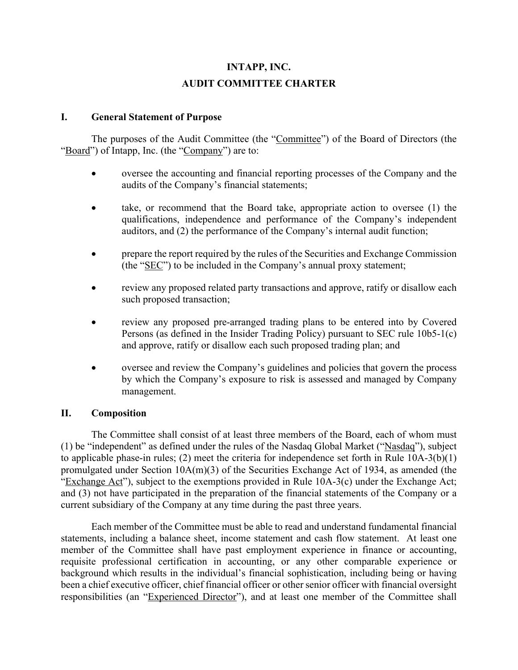# **INTAPP, INC. AUDIT COMMITTEE CHARTER**

#### **I. General Statement of Purpose**

The purposes of the Audit Committee (the "Committee") of the Board of Directors (the "Board") of Intapp, Inc. (the "Company") are to:

- oversee the accounting and financial reporting processes of the Company and the audits of the Company's financial statements;
- take, or recommend that the Board take, appropriate action to oversee  $(1)$  the qualifications, independence and performance of the Company's independent auditors, and (2) the performance of the Company's internal audit function;
- prepare the report required by the rules of the Securities and Exchange Commission (the "SEC") to be included in the Company's annual proxy statement;
- review any proposed related party transactions and approve, ratify or disallow each such proposed transaction;
- review any proposed pre-arranged trading plans to be entered into by Covered Persons (as defined in the Insider Trading Policy) pursuant to SEC rule 10b5-1(c) and approve, ratify or disallow each such proposed trading plan; and
- oversee and review the Company's guidelines and policies that govern the process by which the Company's exposure to risk is assessed and managed by Company management.

#### **II. Composition**

The Committee shall consist of at least three members of the Board, each of whom must (1) be "independent" as defined under the rules of the Nasdaq Global Market ("Nasdaq"), subject to applicable phase-in rules; (2) meet the criteria for independence set forth in Rule 10A-3(b)(1) promulgated under Section 10A(m)(3) of the Securities Exchange Act of 1934, as amended (the "Exchange Act"), subject to the exemptions provided in Rule 10A-3(c) under the Exchange Act; and (3) not have participated in the preparation of the financial statements of the Company or a current subsidiary of the Company at any time during the past three years.

Each member of the Committee must be able to read and understand fundamental financial statements, including a balance sheet, income statement and cash flow statement. At least one member of the Committee shall have past employment experience in finance or accounting, requisite professional certification in accounting, or any other comparable experience or background which results in the individual's financial sophistication, including being or having been a chief executive officer, chief financial officer or other senior officer with financial oversight responsibilities (an "Experienced Director"), and at least one member of the Committee shall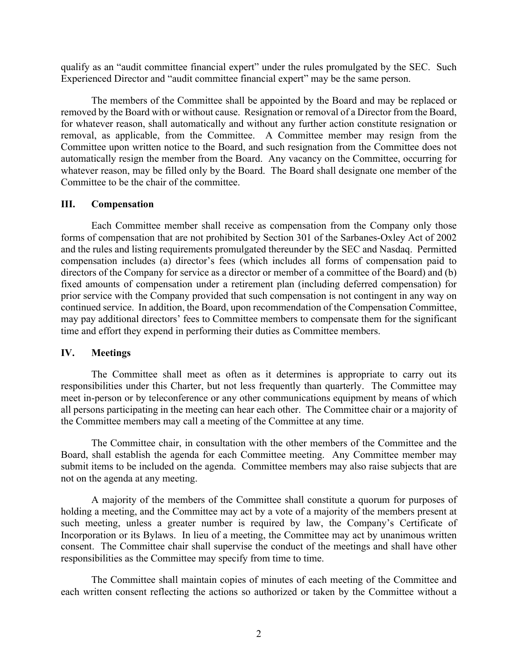qualify as an "audit committee financial expert" under the rules promulgated by the SEC. Such Experienced Director and "audit committee financial expert" may be the same person.

The members of the Committee shall be appointed by the Board and may be replaced or removed by the Board with or without cause. Resignation or removal of a Director from the Board, for whatever reason, shall automatically and without any further action constitute resignation or removal, as applicable, from the Committee. A Committee member may resign from the Committee upon written notice to the Board, and such resignation from the Committee does not automatically resign the member from the Board. Any vacancy on the Committee, occurring for whatever reason, may be filled only by the Board. The Board shall designate one member of the Committee to be the chair of the committee.

#### **III. Compensation**

Each Committee member shall receive as compensation from the Company only those forms of compensation that are not prohibited by Section 301 of the Sarbanes-Oxley Act of 2002 and the rules and listing requirements promulgated thereunder by the SEC and Nasdaq. Permitted compensation includes (a) director's fees (which includes all forms of compensation paid to directors of the Company for service as a director or member of a committee of the Board) and (b) fixed amounts of compensation under a retirement plan (including deferred compensation) for prior service with the Company provided that such compensation is not contingent in any way on continued service. In addition, the Board, upon recommendation of the Compensation Committee, may pay additional directors' fees to Committee members to compensate them for the significant time and effort they expend in performing their duties as Committee members.

#### **IV. Meetings**

The Committee shall meet as often as it determines is appropriate to carry out its responsibilities under this Charter, but not less frequently than quarterly. The Committee may meet in-person or by teleconference or any other communications equipment by means of which all persons participating in the meeting can hear each other. The Committee chair or a majority of the Committee members may call a meeting of the Committee at any time.

The Committee chair, in consultation with the other members of the Committee and the Board, shall establish the agenda for each Committee meeting. Any Committee member may submit items to be included on the agenda. Committee members may also raise subjects that are not on the agenda at any meeting.

A majority of the members of the Committee shall constitute a quorum for purposes of holding a meeting, and the Committee may act by a vote of a majority of the members present at such meeting, unless a greater number is required by law, the Company's Certificate of Incorporation or its Bylaws. In lieu of a meeting, the Committee may act by unanimous written consent. The Committee chair shall supervise the conduct of the meetings and shall have other responsibilities as the Committee may specify from time to time.

The Committee shall maintain copies of minutes of each meeting of the Committee and each written consent reflecting the actions so authorized or taken by the Committee without a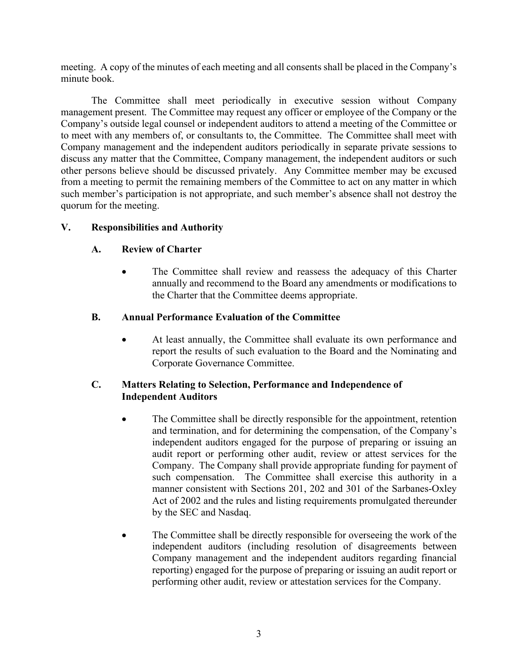meeting. A copy of the minutes of each meeting and all consents shall be placed in the Company's minute book.

The Committee shall meet periodically in executive session without Company management present. The Committee may request any officer or employee of the Company or the Company's outside legal counsel or independent auditors to attend a meeting of the Committee or to meet with any members of, or consultants to, the Committee. The Committee shall meet with Company management and the independent auditors periodically in separate private sessions to discuss any matter that the Committee, Company management, the independent auditors or such other persons believe should be discussed privately. Any Committee member may be excused from a meeting to permit the remaining members of the Committee to act on any matter in which such member's participation is not appropriate, and such member's absence shall not destroy the quorum for the meeting.

#### **V. Responsibilities and Authority**

#### **A. Review of Charter**

• The Committee shall review and reassess the adequacy of this Charter annually and recommend to the Board any amendments or modifications to the Charter that the Committee deems appropriate.

#### **B. Annual Performance Evaluation of the Committee**

• At least annually, the Committee shall evaluate its own performance and report the results of such evaluation to the Board and the Nominating and Corporate Governance Committee.

#### **C. Matters Relating to Selection, Performance and Independence of Independent Auditors**

- The Committee shall be directly responsible for the appointment, retention and termination, and for determining the compensation, of the Company's independent auditors engaged for the purpose of preparing or issuing an audit report or performing other audit, review or attest services for the Company. The Company shall provide appropriate funding for payment of such compensation. The Committee shall exercise this authority in a manner consistent with Sections 201, 202 and 301 of the Sarbanes-Oxley Act of 2002 and the rules and listing requirements promulgated thereunder by the SEC and Nasdaq.
- The Committee shall be directly responsible for overseeing the work of the independent auditors (including resolution of disagreements between Company management and the independent auditors regarding financial reporting) engaged for the purpose of preparing or issuing an audit report or performing other audit, review or attestation services for the Company.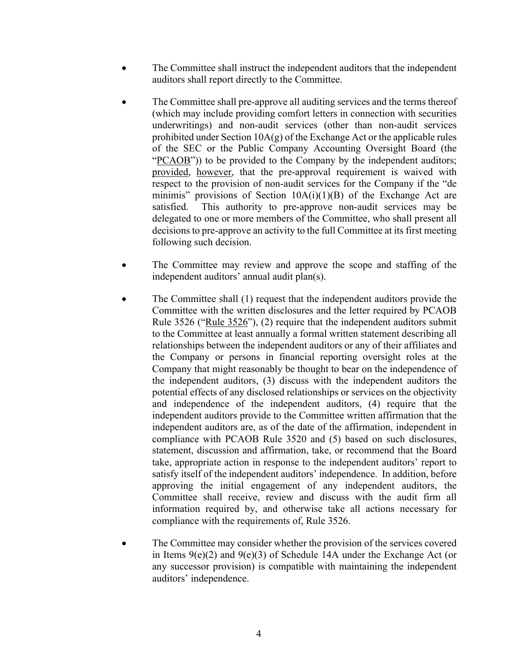- The Committee shall instruct the independent auditors that the independent auditors shall report directly to the Committee.
- The Committee shall pre-approve all auditing services and the terms thereof (which may include providing comfort letters in connection with securities underwritings) and non-audit services (other than non-audit services prohibited under Section 10A(g) of the Exchange Act or the applicable rules of the SEC or the Public Company Accounting Oversight Board (the "PCAOB")) to be provided to the Company by the independent auditors; provided, however, that the pre-approval requirement is waived with respect to the provision of non-audit services for the Company if the "de minimis" provisions of Section  $10A(i)(1)(B)$  of the Exchange Act are satisfied. This authority to pre-approve non-audit services may be delegated to one or more members of the Committee, who shall present all decisions to pre-approve an activity to the full Committee at its first meeting following such decision.
- The Committee may review and approve the scope and staffing of the independent auditors' annual audit plan(s).
- The Committee shall (1) request that the independent auditors provide the Committee with the written disclosures and the letter required by PCAOB Rule 3526 ("Rule 3526"), (2) require that the independent auditors submit to the Committee at least annually a formal written statement describing all relationships between the independent auditors or any of their affiliates and the Company or persons in financial reporting oversight roles at the Company that might reasonably be thought to bear on the independence of the independent auditors, (3) discuss with the independent auditors the potential effects of any disclosed relationships or services on the objectivity and independence of the independent auditors, (4) require that the independent auditors provide to the Committee written affirmation that the independent auditors are, as of the date of the affirmation, independent in compliance with PCAOB Rule 3520 and (5) based on such disclosures, statement, discussion and affirmation, take, or recommend that the Board take, appropriate action in response to the independent auditors' report to satisfy itself of the independent auditors' independence. In addition, before approving the initial engagement of any independent auditors, the Committee shall receive, review and discuss with the audit firm all information required by, and otherwise take all actions necessary for compliance with the requirements of, Rule 3526.
- The Committee may consider whether the provision of the services covered in Items  $9(e)(2)$  and  $9(e)(3)$  of Schedule 14A under the Exchange Act (or any successor provision) is compatible with maintaining the independent auditors' independence.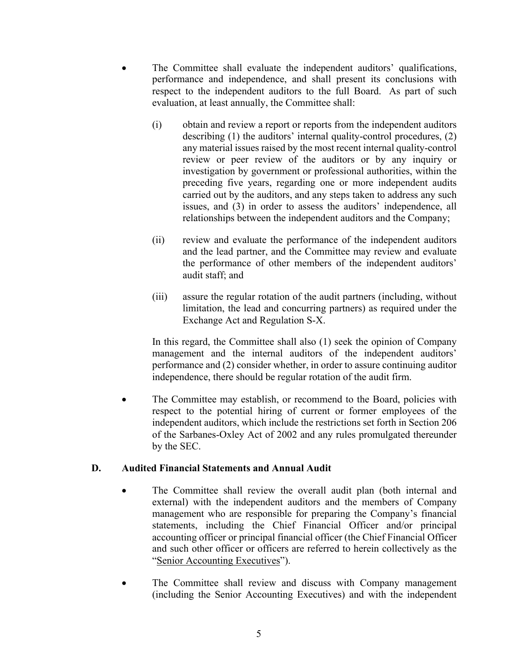- The Committee shall evaluate the independent auditors' qualifications, performance and independence, and shall present its conclusions with respect to the independent auditors to the full Board. As part of such evaluation, at least annually, the Committee shall:
	- (i) obtain and review a report or reports from the independent auditors describing (1) the auditors' internal quality-control procedures, (2) any material issues raised by the most recent internal quality-control review or peer review of the auditors or by any inquiry or investigation by government or professional authorities, within the preceding five years, regarding one or more independent audits carried out by the auditors, and any steps taken to address any such issues, and (3) in order to assess the auditors' independence, all relationships between the independent auditors and the Company;
	- (ii) review and evaluate the performance of the independent auditors and the lead partner, and the Committee may review and evaluate the performance of other members of the independent auditors' audit staff; and
	- (iii) assure the regular rotation of the audit partners (including, without limitation, the lead and concurring partners) as required under the Exchange Act and Regulation S-X.

In this regard, the Committee shall also (1) seek the opinion of Company management and the internal auditors of the independent auditors' performance and (2) consider whether, in order to assure continuing auditor independence, there should be regular rotation of the audit firm.

The Committee may establish, or recommend to the Board, policies with respect to the potential hiring of current or former employees of the independent auditors, which include the restrictions set forth in Section 206 of the Sarbanes-Oxley Act of 2002 and any rules promulgated thereunder by the SEC.

### **D. Audited Financial Statements and Annual Audit**

- The Committee shall review the overall audit plan (both internal and external) with the independent auditors and the members of Company management who are responsible for preparing the Company's financial statements, including the Chief Financial Officer and/or principal accounting officer or principal financial officer (the Chief Financial Officer and such other officer or officers are referred to herein collectively as the "Senior Accounting Executives").
- The Committee shall review and discuss with Company management (including the Senior Accounting Executives) and with the independent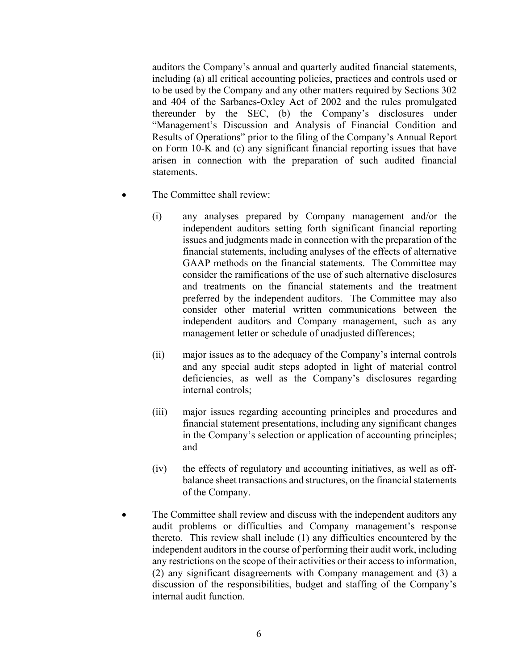auditors the Company's annual and quarterly audited financial statements, including (a) all critical accounting policies, practices and controls used or to be used by the Company and any other matters required by Sections 302 and 404 of the Sarbanes-Oxley Act of 2002 and the rules promulgated thereunder by the SEC, (b) the Company's disclosures under "Management's Discussion and Analysis of Financial Condition and Results of Operations" prior to the filing of the Company's Annual Report on Form 10-K and (c) any significant financial reporting issues that have arisen in connection with the preparation of such audited financial statements.

- The Committee shall review:
	- (i) any analyses prepared by Company management and/or the independent auditors setting forth significant financial reporting issues and judgments made in connection with the preparation of the financial statements, including analyses of the effects of alternative GAAP methods on the financial statements. The Committee may consider the ramifications of the use of such alternative disclosures and treatments on the financial statements and the treatment preferred by the independent auditors. The Committee may also consider other material written communications between the independent auditors and Company management, such as any management letter or schedule of unadjusted differences;
	- (ii) major issues as to the adequacy of the Company's internal controls and any special audit steps adopted in light of material control deficiencies, as well as the Company's disclosures regarding internal controls;
	- (iii) major issues regarding accounting principles and procedures and financial statement presentations, including any significant changes in the Company's selection or application of accounting principles; and
	- (iv) the effects of regulatory and accounting initiatives, as well as offbalance sheet transactions and structures, on the financial statements of the Company.
- The Committee shall review and discuss with the independent auditors any audit problems or difficulties and Company management's response thereto. This review shall include (1) any difficulties encountered by the independent auditors in the course of performing their audit work, including any restrictions on the scope of their activities or their access to information, (2) any significant disagreements with Company management and (3) a discussion of the responsibilities, budget and staffing of the Company's internal audit function.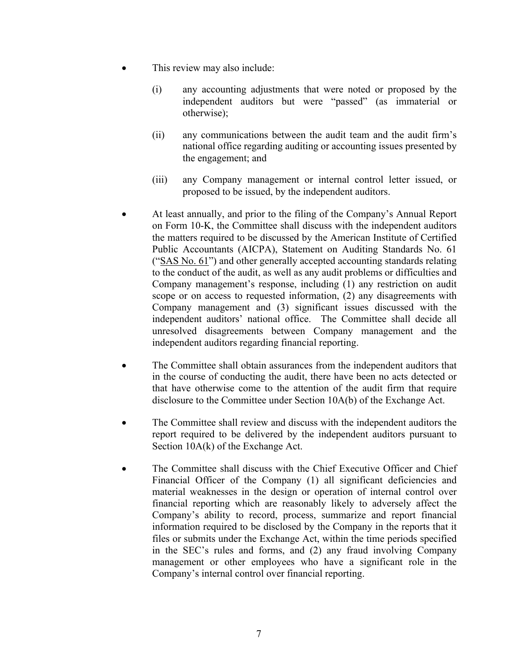- This review may also include:
	- (i) any accounting adjustments that were noted or proposed by the independent auditors but were "passed" (as immaterial or otherwise);
	- (ii) any communications between the audit team and the audit firm's national office regarding auditing or accounting issues presented by the engagement; and
	- (iii) any Company management or internal control letter issued, or proposed to be issued, by the independent auditors.
- At least annually, and prior to the filing of the Company's Annual Report on Form 10-K, the Committee shall discuss with the independent auditors the matters required to be discussed by the American Institute of Certified Public Accountants (AICPA), Statement on Auditing Standards No. 61 ("SAS No. 61") and other generally accepted accounting standards relating to the conduct of the audit, as well as any audit problems or difficulties and Company management's response, including (1) any restriction on audit scope or on access to requested information, (2) any disagreements with Company management and (3) significant issues discussed with the independent auditors' national office. The Committee shall decide all unresolved disagreements between Company management and the independent auditors regarding financial reporting.
- The Committee shall obtain assurances from the independent auditors that in the course of conducting the audit, there have been no acts detected or that have otherwise come to the attention of the audit firm that require disclosure to the Committee under Section 10A(b) of the Exchange Act.
- The Committee shall review and discuss with the independent auditors the report required to be delivered by the independent auditors pursuant to Section 10A(k) of the Exchange Act.
- The Committee shall discuss with the Chief Executive Officer and Chief Financial Officer of the Company (1) all significant deficiencies and material weaknesses in the design or operation of internal control over financial reporting which are reasonably likely to adversely affect the Company's ability to record, process, summarize and report financial information required to be disclosed by the Company in the reports that it files or submits under the Exchange Act, within the time periods specified in the SEC's rules and forms, and (2) any fraud involving Company management or other employees who have a significant role in the Company's internal control over financial reporting.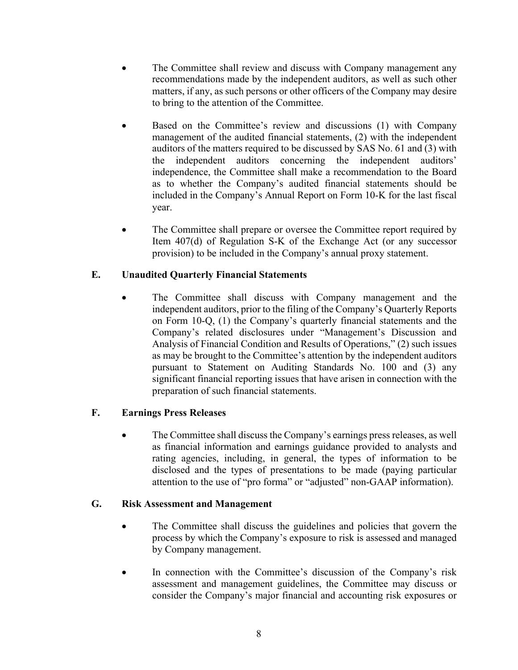- The Committee shall review and discuss with Company management any recommendations made by the independent auditors, as well as such other matters, if any, as such persons or other officers of the Company may desire to bring to the attention of the Committee.
- Based on the Committee's review and discussions (1) with Company management of the audited financial statements, (2) with the independent auditors of the matters required to be discussed by SAS No. 61 and (3) with the independent auditors concerning the independent auditors' independence, the Committee shall make a recommendation to the Board as to whether the Company's audited financial statements should be included in the Company's Annual Report on Form 10-K for the last fiscal year.
- The Committee shall prepare or oversee the Committee report required by Item 407(d) of Regulation S-K of the Exchange Act (or any successor provision) to be included in the Company's annual proxy statement.

# **E. Unaudited Quarterly Financial Statements**

The Committee shall discuss with Company management and the independent auditors, prior to the filing of the Company's Quarterly Reports on Form 10-Q, (1) the Company's quarterly financial statements and the Company's related disclosures under "Management's Discussion and Analysis of Financial Condition and Results of Operations," (2) such issues as may be brought to the Committee's attention by the independent auditors pursuant to Statement on Auditing Standards No. 100 and (3) any significant financial reporting issues that have arisen in connection with the preparation of such financial statements.

### **F. Earnings Press Releases**

• The Committee shall discuss the Company's earnings press releases, as well as financial information and earnings guidance provided to analysts and rating agencies, including, in general, the types of information to be disclosed and the types of presentations to be made (paying particular attention to the use of "pro forma" or "adjusted" non-GAAP information).

#### **G. Risk Assessment and Management**

- The Committee shall discuss the guidelines and policies that govern the process by which the Company's exposure to risk is assessed and managed by Company management.
- In connection with the Committee's discussion of the Company's risk assessment and management guidelines, the Committee may discuss or consider the Company's major financial and accounting risk exposures or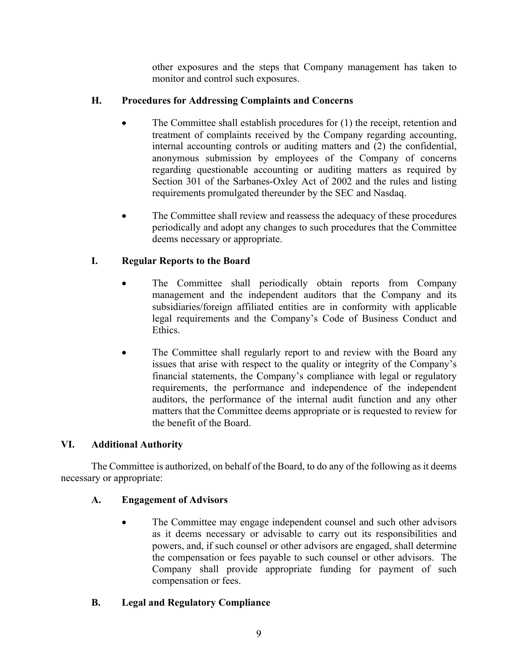other exposures and the steps that Company management has taken to monitor and control such exposures.

### **H. Procedures for Addressing Complaints and Concerns**

- The Committee shall establish procedures for (1) the receipt, retention and treatment of complaints received by the Company regarding accounting, internal accounting controls or auditing matters and (2) the confidential, anonymous submission by employees of the Company of concerns regarding questionable accounting or auditing matters as required by Section 301 of the Sarbanes-Oxley Act of 2002 and the rules and listing requirements promulgated thereunder by the SEC and Nasdaq.
- The Committee shall review and reassess the adequacy of these procedures periodically and adopt any changes to such procedures that the Committee deems necessary or appropriate.

# **I. Regular Reports to the Board**

- The Committee shall periodically obtain reports from Company management and the independent auditors that the Company and its subsidiaries/foreign affiliated entities are in conformity with applicable legal requirements and the Company's Code of Business Conduct and Ethics.
- The Committee shall regularly report to and review with the Board any issues that arise with respect to the quality or integrity of the Company's financial statements, the Company's compliance with legal or regulatory requirements, the performance and independence of the independent auditors, the performance of the internal audit function and any other matters that the Committee deems appropriate or is requested to review for the benefit of the Board.

### **VI. Additional Authority**

The Committee is authorized, on behalf of the Board, to do any of the following as it deems necessary or appropriate:

### **A. Engagement of Advisors**

• The Committee may engage independent counsel and such other advisors as it deems necessary or advisable to carry out its responsibilities and powers, and, if such counsel or other advisors are engaged, shall determine the compensation or fees payable to such counsel or other advisors. The Company shall provide appropriate funding for payment of such compensation or fees.

### **B. Legal and Regulatory Compliance**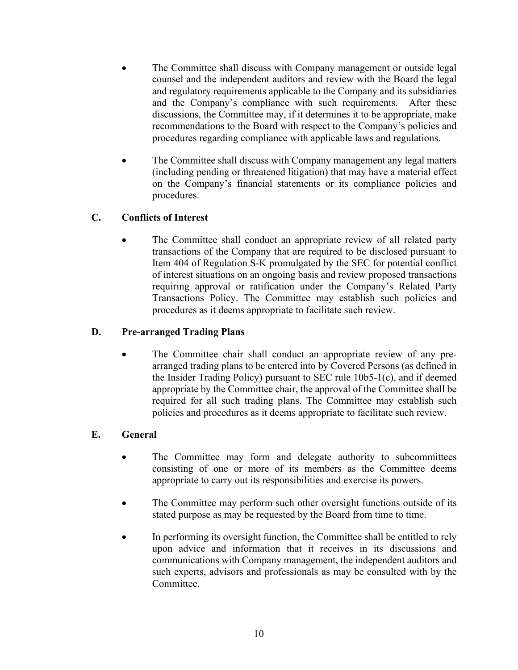- The Committee shall discuss with Company management or outside legal counsel and the independent auditors and review with the Board the legal and regulatory requirements applicable to the Company and its subsidiaries and the Company's compliance with such requirements. After these discussions, the Committee may, if it determines it to be appropriate, make recommendations to the Board with respect to the Company's policies and procedures regarding compliance with applicable laws and regulations.
- The Committee shall discuss with Company management any legal matters (including pending or threatened litigation) that may have a material effect on the Company's financial statements or its compliance policies and procedures.

### **C. Conflicts of Interest**

• The Committee shall conduct an appropriate review of all related party transactions of the Company that are required to be disclosed pursuant to Item 404 of Regulation S-K promulgated by the SEC for potential conflict of interest situations on an ongoing basis and review proposed transactions requiring approval or ratification under the Company's Related Party Transactions Policy. The Committee may establish such policies and procedures as it deems appropriate to facilitate such review.

### **D. Pre-arranged Trading Plans**

The Committee chair shall conduct an appropriate review of any prearranged trading plans to be entered into by Covered Persons (as defined in the Insider Trading Policy) pursuant to SEC rule 10b5-1(c), and if deemed appropriate by the Committee chair, the approval of the Committee shall be required for all such trading plans. The Committee may establish such policies and procedures as it deems appropriate to facilitate such review.

### **E. General**

- The Committee may form and delegate authority to subcommittees consisting of one or more of its members as the Committee deems appropriate to carry out its responsibilities and exercise its powers.
- The Committee may perform such other oversight functions outside of its stated purpose as may be requested by the Board from time to time.
- In performing its oversight function, the Committee shall be entitled to rely upon advice and information that it receives in its discussions and communications with Company management, the independent auditors and such experts, advisors and professionals as may be consulted with by the Committee.